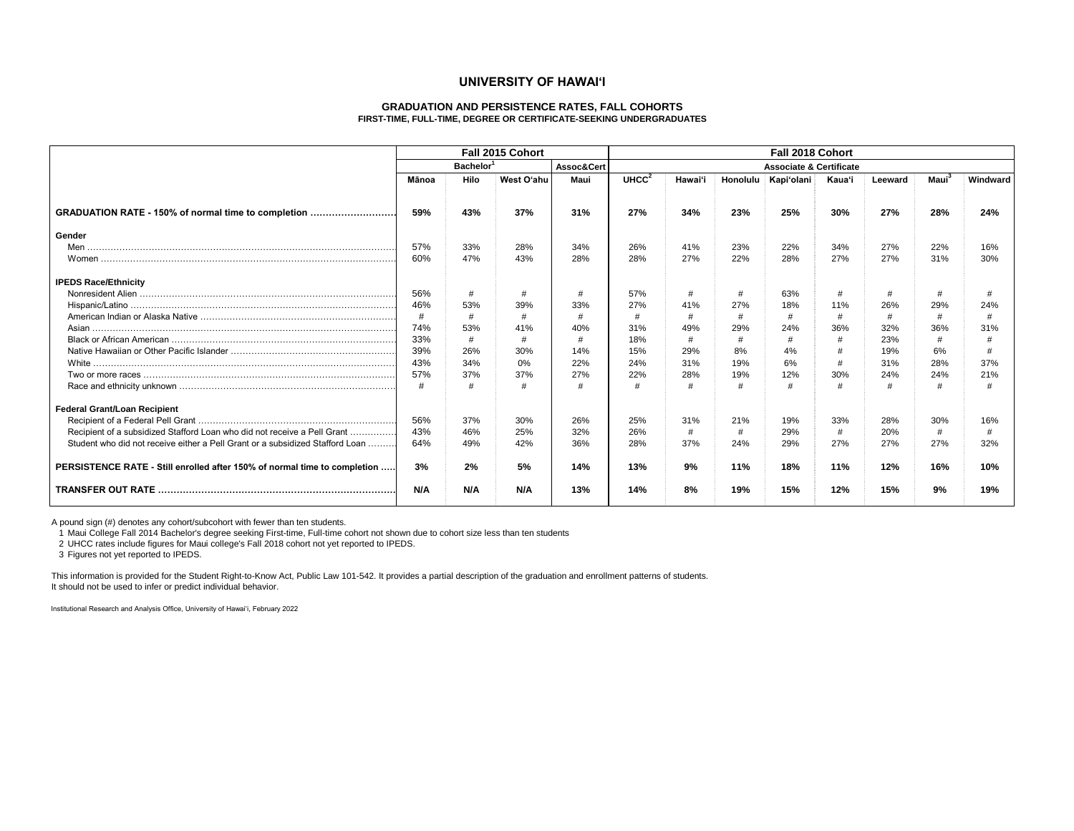#### **UNIVERSITY OF HAWAI'I**

#### **GRADUATION AND PERSISTENCE RATES, FALL COHORTS FIRST-TIME, FULL-TIME, DEGREE OR CERTIFICATE-SEEKING UNDERGRADUATES**

|                                                                               | Fall 2015 Cohort<br>Bachelor <sup>1</sup><br>Assoc&Cert |      |            | Fall 2018 Cohort                   |                   |         |                 |            |        |         |                   |          |
|-------------------------------------------------------------------------------|---------------------------------------------------------|------|------------|------------------------------------|-------------------|---------|-----------------|------------|--------|---------|-------------------|----------|
|                                                                               |                                                         |      |            | <b>Associate &amp; Certificate</b> |                   |         |                 |            |        |         |                   |          |
|                                                                               | Mānoa                                                   | Hilo | West O'ahu | Maui                               | UHCC <sup>2</sup> | Hawai'i | <b>Honolulu</b> | Kapi'olani | Kaua'i | Leeward | Maui <sup>3</sup> | Windward |
| GRADUATION RATE - 150% of normal time to completion                           | 59%                                                     | 43%  | 37%        | 31%                                | 27%               | 34%     | 23%             | 25%        | 30%    | 27%     | 28%               | 24%      |
| Gender                                                                        |                                                         |      |            |                                    |                   |         |                 |            |        |         |                   |          |
|                                                                               | 57%                                                     | 33%  | 28%        | 34%                                | 26%               | 41%     | 23%             | 22%        | 34%    | 27%     | 22%               | 16%      |
|                                                                               | 60%                                                     | 47%  | 43%        | 28%                                | 28%               | 27%     | 22%             | 28%        | 27%    | 27%     | 31%               | 30%      |
| <b>IPEDS Race/Ethnicity</b>                                                   |                                                         |      |            |                                    |                   |         |                 |            |        |         |                   |          |
|                                                                               | 56%                                                     | #    |            | #                                  | 57%               | #       | #               | 63%        | #      |         |                   |          |
|                                                                               | 46%                                                     | 53%  | 39%        | 33%                                | 27%               | 41%     | 27%             | 18%        | 11%    | 26%     | 29%               | 24%      |
|                                                                               | #                                                       | #    | #          | #                                  | #                 | #       | #               | #          | #      | #       |                   |          |
|                                                                               | 74%                                                     | 53%  | 41%        | 40%                                | 31%               | 49%     | 29%             | 24%        | 36%    | 32%     | 36%               | 31%      |
|                                                                               | 33%                                                     | #    |            | #                                  | 18%               | #       | #               |            |        | 23%     |                   |          |
|                                                                               | 39%                                                     | 26%  | 30%        | 14%                                | 15%               | 29%     | 8%              | 4%         |        | 19%     | 6%                |          |
|                                                                               | 43%                                                     | 34%  | 0%         | 22%                                | 24%               | 31%     | 19%             | 6%         | #      | 31%     | 28%               | 37%      |
|                                                                               | 57%                                                     | 37%  | 37%        | 27%                                | 22%               | 28%     | 19%             | 12%        | 30%    | 24%     | 24%               | 21%      |
|                                                                               |                                                         | #    |            |                                    |                   |         | #               |            |        |         |                   |          |
| Federal Grant/Loan Recipient                                                  |                                                         |      |            |                                    |                   |         |                 |            |        |         |                   |          |
|                                                                               | 56%                                                     | 37%  | 30%        | 26%                                | 25%               | 31%     | 21%             | 19%        | 33%    | 28%     | 30%               | 16%      |
| Recipient of a subsidized Stafford Loan who did not receive a Pell Grant      | 43%                                                     | 46%  | 25%        | 32%                                | 26%               | #       | #               | 29%        | #      | 20%     |                   |          |
| Student who did not receive either a Pell Grant or a subsidized Stafford Loan | 64%                                                     | 49%  | 42%        | 36%                                | 28%               | 37%     | 24%             | 29%        | 27%    | 27%     | 27%               | 32%      |
| PERSISTENCE RATE - Still enrolled after 150% of normal time to completion     | 3%                                                      | 2%   | 5%         | 14%                                | 13%               | 9%      | 11%             | 18%        | 11%    | 12%     | 16%               | 10%      |
|                                                                               | N/A                                                     | N/A  | N/A        | 13%                                | 14%               | 8%      | 19%             | 15%        | 12%    | 15%     | 9%                | 19%      |

A pound sign (#) denotes any cohort/subcohort with fewer than ten students.

1 Maui College Fall 2014 Bachelor's degree seeking First-time, Full-time cohort not shown due to cohort size less than ten students

2 UHCC rates include figures for Maui college's Fall 2018 cohort not yet reported to IPEDS.

3 Figures not yet reported to IPEDS.

This information is provided for the Student Right-to-Know Act, Public Law 101-542. It provides a partial description of the graduation and enrollment patterns of students. It should not be used to infer or predict individual behavior.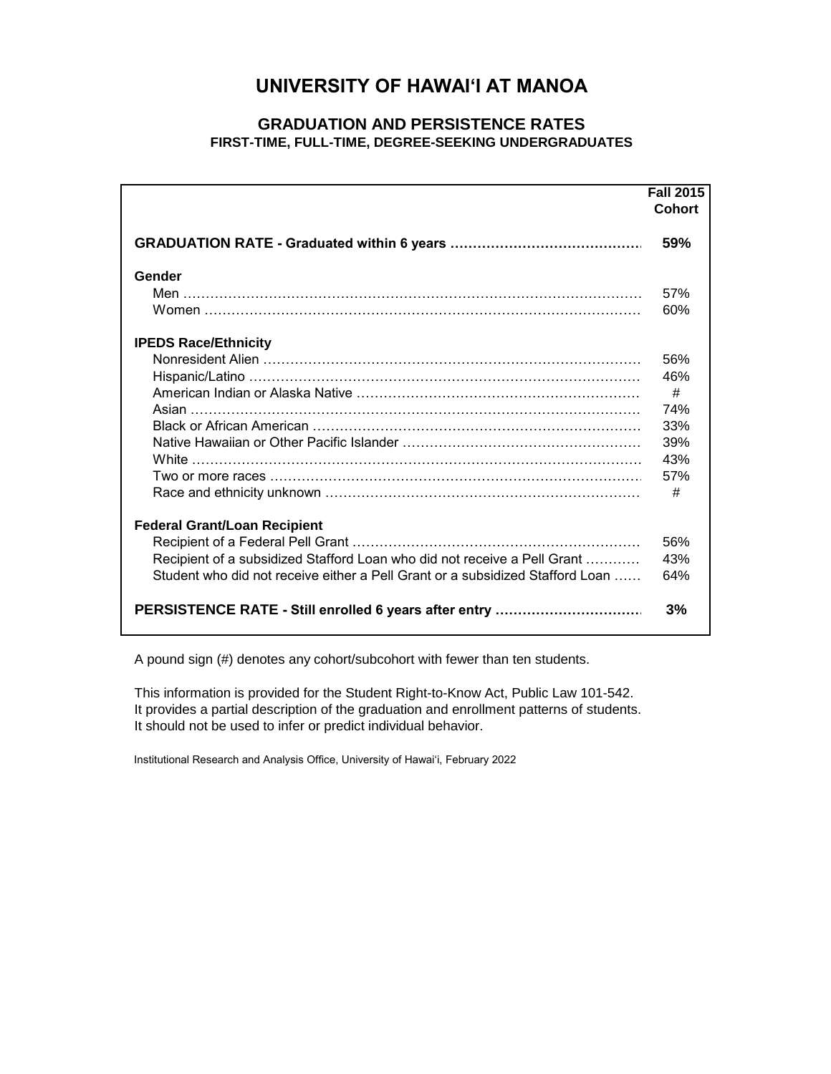# **UNIVERSITY OF HAWAI'I AT MANOA**

### **GRADUATION AND PERSISTENCE RATES FIRST-TIME, FULL-TIME, DEGREE-SEEKING UNDERGRADUATES**

|                                                                               | <b>Fall 2015</b> |
|-------------------------------------------------------------------------------|------------------|
|                                                                               | <b>Cohort</b>    |
|                                                                               | 59%              |
| Gender                                                                        |                  |
|                                                                               | 57%              |
|                                                                               | 60%              |
| <b>IPEDS Race/Ethnicity</b>                                                   |                  |
|                                                                               | 56%              |
|                                                                               | 46%              |
|                                                                               | #                |
| Asian ……………………………………………………………………………………………                                     | 74%              |
|                                                                               | 33%              |
|                                                                               | 39%              |
|                                                                               | 43%              |
|                                                                               | 57%              |
|                                                                               | #                |
| <b>Federal Grant/Loan Recipient</b>                                           |                  |
|                                                                               | 56%              |
| Recipient of a subsidized Stafford Loan who did not receive a Pell Grant      | 43%              |
| Student who did not receive either a Pell Grant or a subsidized Stafford Loan | 64%              |
| PERSISTENCE RATE - Still enrolled 6 years after entry                         | 3%               |

A pound sign (#) denotes any cohort/subcohort with fewer than ten students.

This information is provided for the Student Right-to-Know Act, Public Law 101-542. It provides a partial description of the graduation and enrollment patterns of students. It should not be used to infer or predict individual behavior.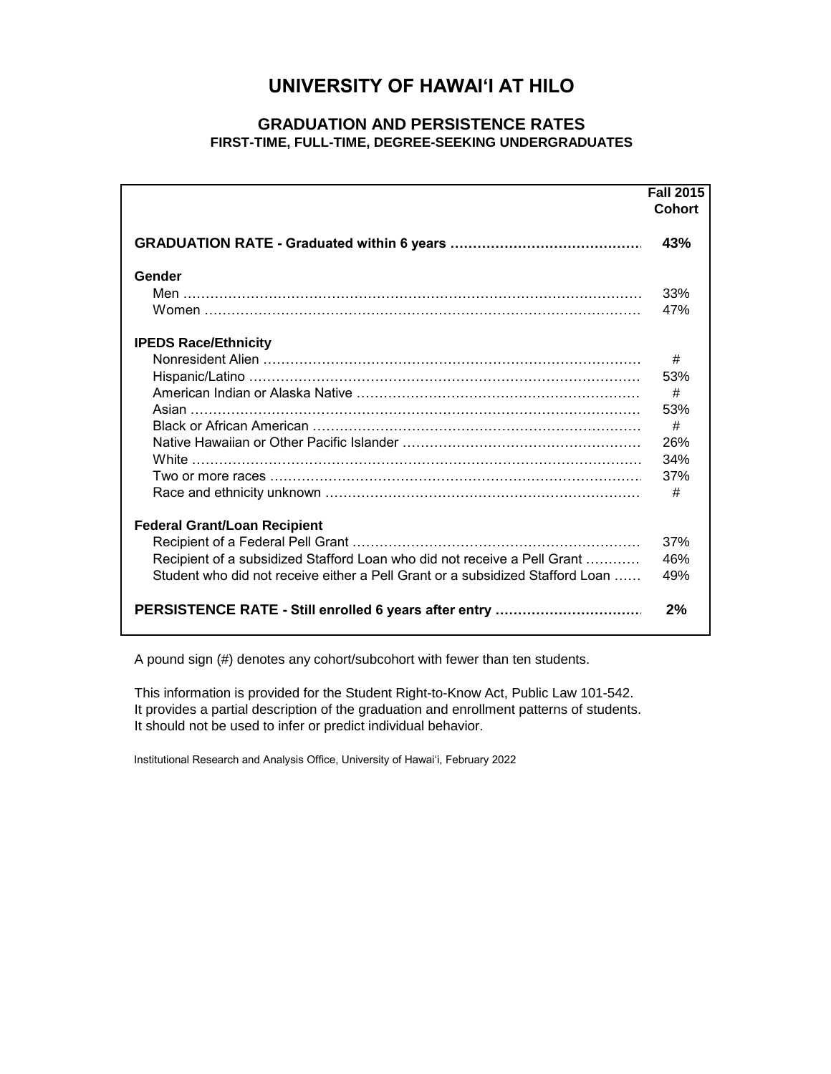# **UNIVERSITY OF HAWAI'I AT HILO**

### **GRADUATION AND PERSISTENCE RATES FIRST-TIME, FULL-TIME, DEGREE-SEEKING UNDERGRADUATES**

|                                                                               | <b>Fall 2015</b> |
|-------------------------------------------------------------------------------|------------------|
|                                                                               | <b>Cohort</b>    |
|                                                                               | 43%              |
| Gender                                                                        |                  |
|                                                                               | 33%              |
|                                                                               | 47%              |
| <b>IPEDS Race/Ethnicity</b>                                                   |                  |
|                                                                               | #                |
|                                                                               | 53%              |
|                                                                               | #                |
|                                                                               | 53%              |
|                                                                               | #                |
|                                                                               | 26%              |
|                                                                               | 34%              |
|                                                                               | 37%              |
|                                                                               | #                |
| <b>Federal Grant/Loan Recipient</b>                                           |                  |
|                                                                               | 37%              |
| Recipient of a subsidized Stafford Loan who did not receive a Pell Grant      | 46%              |
| Student who did not receive either a Pell Grant or a subsidized Stafford Loan | 49%              |
| PERSISTENCE RATE - Still enrolled 6 years after entry                         | 2%               |

A pound sign (#) denotes any cohort/subcohort with fewer than ten students.

This information is provided for the Student Right-to-Know Act, Public Law 101-542. It provides a partial description of the graduation and enrollment patterns of students. It should not be used to infer or predict individual behavior.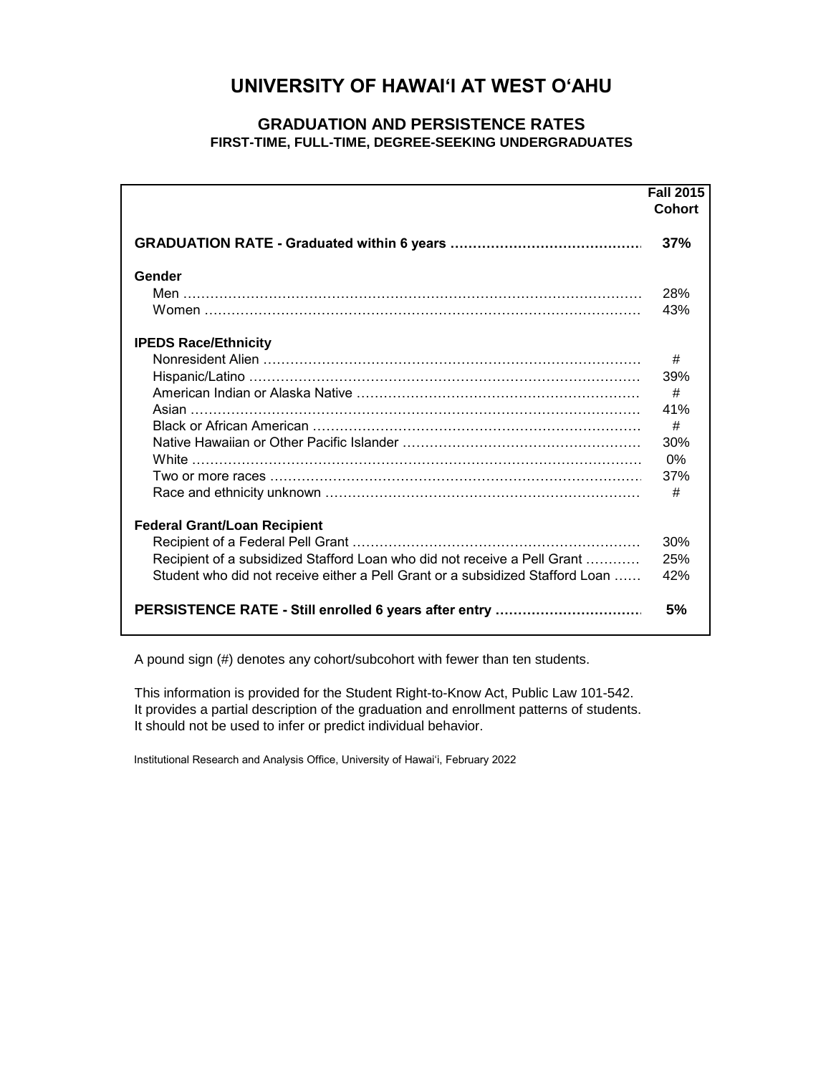# **UNIVERSITY OF HAWAI'I AT WEST O'AHU**

### **GRADUATION AND PERSISTENCE RATES FIRST-TIME, FULL-TIME, DEGREE-SEEKING UNDERGRADUATES**

|                                                                               | <b>Fall 2015</b> |
|-------------------------------------------------------------------------------|------------------|
|                                                                               | <b>Cohort</b>    |
|                                                                               | 37%              |
| Gender                                                                        |                  |
|                                                                               | 28%              |
|                                                                               | 43%              |
| <b>IPEDS Race/Ethnicity</b>                                                   |                  |
|                                                                               | #                |
|                                                                               | 39%              |
|                                                                               | #                |
|                                                                               | 41%              |
|                                                                               | #                |
|                                                                               | 30%              |
|                                                                               | 0%               |
| Two or more races …………………………………………………………………………                                | 37%              |
|                                                                               | #                |
| <b>Federal Grant/Loan Recipient</b>                                           |                  |
|                                                                               | 30%              |
| Recipient of a subsidized Stafford Loan who did not receive a Pell Grant      | 25%              |
| Student who did not receive either a Pell Grant or a subsidized Stafford Loan | 42%              |
| PERSISTENCE RATE - Still enrolled 6 years after entry                         | 5%               |

A pound sign (#) denotes any cohort/subcohort with fewer than ten students.

This information is provided for the Student Right-to-Know Act, Public Law 101-542. It provides a partial description of the graduation and enrollment patterns of students. It should not be used to infer or predict individual behavior.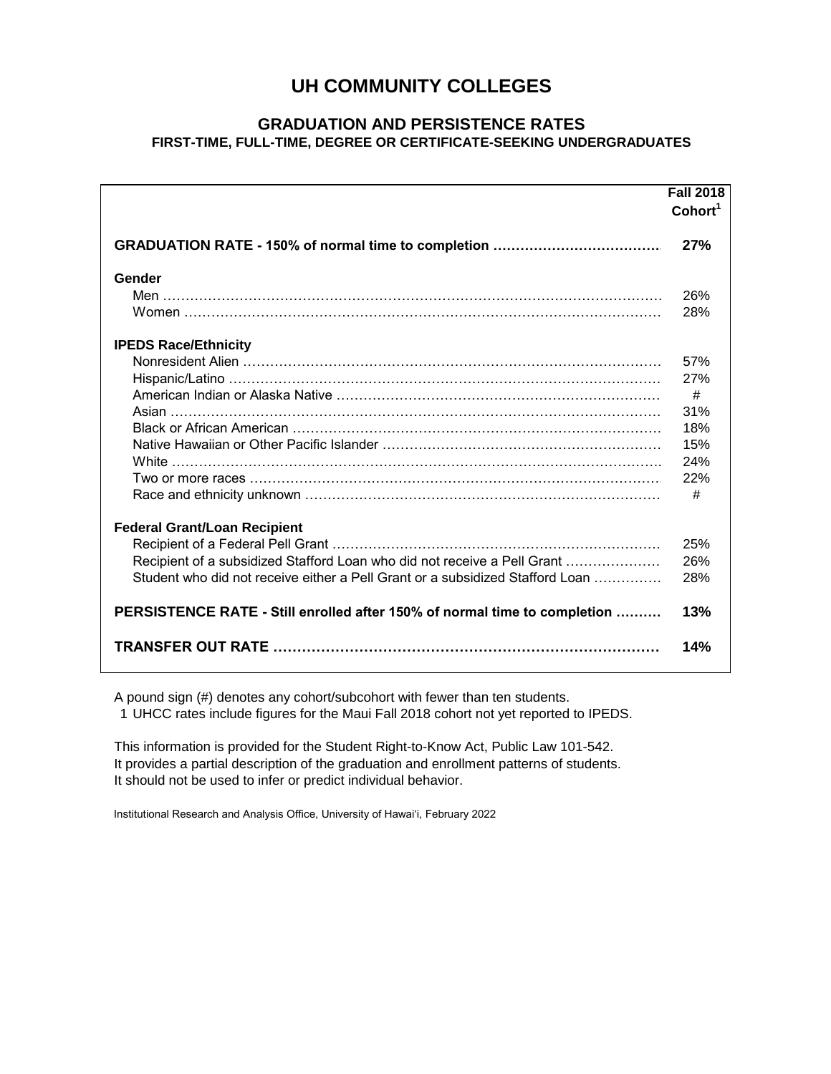### **UH COMMUNITY COLLEGES**

#### **GRADUATION AND PERSISTENCE RATES FIRST-TIME, FULL-TIME, DEGREE OR CERTIFICATE-SEEKING UNDERGRADUATES**

|                                                                                   | <b>Fall 2018</b><br>Cohort <sup>1</sup> |
|-----------------------------------------------------------------------------------|-----------------------------------------|
|                                                                                   | 27%                                     |
| Gender                                                                            |                                         |
|                                                                                   | 26%                                     |
|                                                                                   | 28%                                     |
| <b>IPEDS Race/Ethnicity</b>                                                       |                                         |
|                                                                                   | 57%                                     |
|                                                                                   | 27%                                     |
|                                                                                   | #                                       |
|                                                                                   | 31%                                     |
|                                                                                   | 18%                                     |
|                                                                                   | 15%                                     |
|                                                                                   | 24%                                     |
|                                                                                   | 22%                                     |
|                                                                                   | #                                       |
| <b>Federal Grant/Loan Recipient</b>                                               |                                         |
|                                                                                   | 25%                                     |
| Recipient of a subsidized Stafford Loan who did not receive a Pell Grant          | 26%                                     |
| Student who did not receive either a Pell Grant or a subsidized Stafford Loan     | 28%                                     |
| <b>PERSISTENCE RATE - Still enrolled after 150% of normal time to completion </b> | 13%                                     |
|                                                                                   | 14%                                     |

A pound sign (#) denotes any cohort/subcohort with fewer than ten students.

1 UHCC rates include figures for the Maui Fall 2018 cohort not yet reported to IPEDS.

This information is provided for the Student Right-to-Know Act, Public Law 101-542. It provides a partial description of the graduation and enrollment patterns of students. It should not be used to infer or predict individual behavior.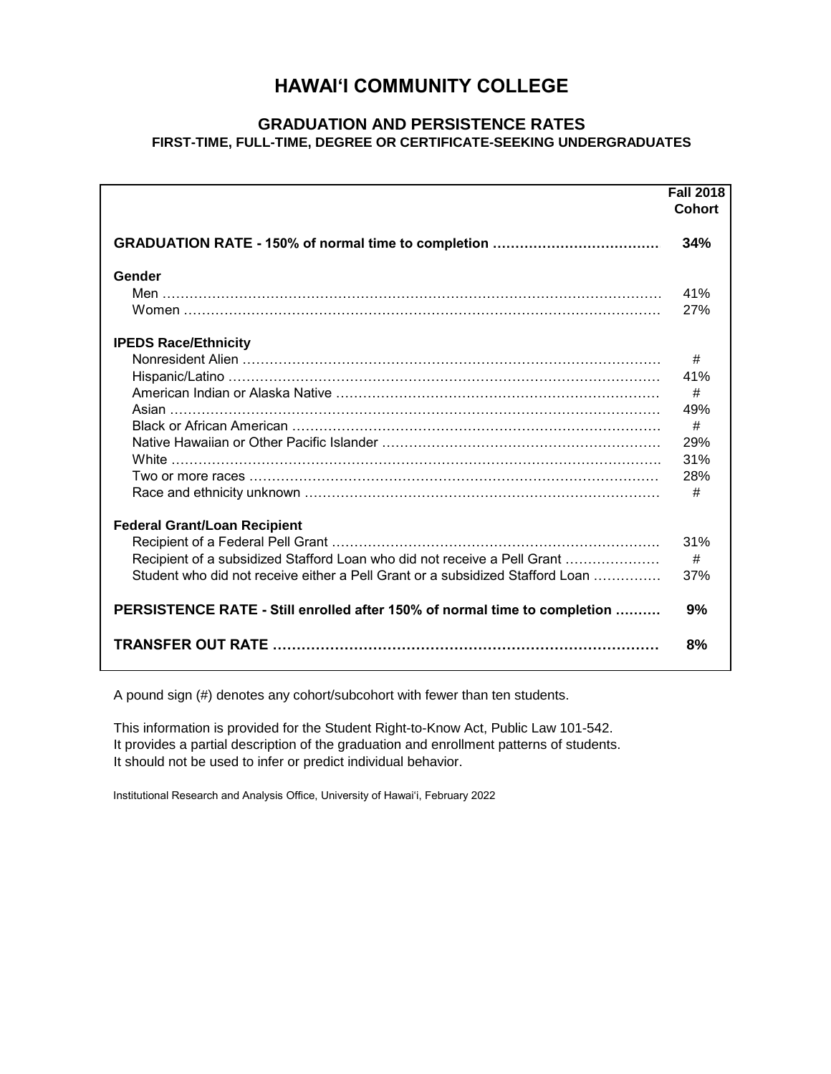### **HAWAI'I COMMUNITY COLLEGE**

### **GRADUATION AND PERSISTENCE RATES FIRST-TIME, FULL-TIME, DEGREE OR CERTIFICATE-SEEKING UNDERGRADUATES**

|                                                                               | <b>Fall 2018</b><br><b>Cohort</b> |
|-------------------------------------------------------------------------------|-----------------------------------|
|                                                                               | 34%                               |
| Gender                                                                        |                                   |
|                                                                               | 41%                               |
|                                                                               | 27%                               |
| <b>IPEDS Race/Ethnicity</b>                                                   |                                   |
|                                                                               | #                                 |
|                                                                               | 41%                               |
|                                                                               | #                                 |
|                                                                               | 49%                               |
|                                                                               | #                                 |
|                                                                               | 29%                               |
|                                                                               | 31%                               |
| Two or more races ………………………………………………………………………………                              | 28%                               |
|                                                                               | #                                 |
| <b>Federal Grant/Loan Recipient</b>                                           |                                   |
|                                                                               | 31%                               |
| Recipient of a subsidized Stafford Loan who did not receive a Pell Grant      | #                                 |
| Student who did not receive either a Pell Grant or a subsidized Stafford Loan | 37%                               |
| PERSISTENCE RATE - Still enrolled after 150% of normal time to completion     | 9%                                |
|                                                                               | 8%                                |

A pound sign (#) denotes any cohort/subcohort with fewer than ten students.

This information is provided for the Student Right-to-Know Act, Public Law 101-542. It provides a partial description of the graduation and enrollment patterns of students. It should not be used to infer or predict individual behavior.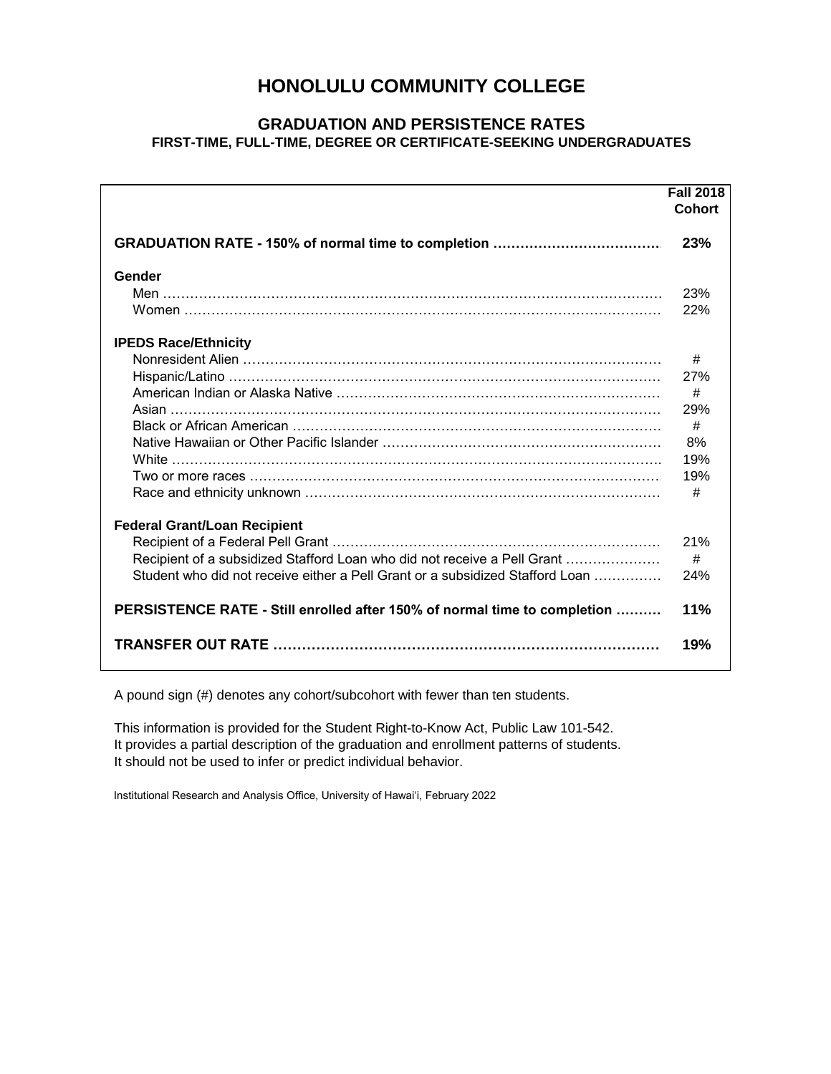### **HONOLULU COMMUNITY COLLEGE**

#### **GRADUATION AND PERSISTENCE RATES FIRST-TIME, FULL-TIME, DEGREE OR CERTIFICATE-SEEKING UNDERGRADUATES**

|                                                                               | <b>Fall 2018</b><br><b>Cohort</b> |
|-------------------------------------------------------------------------------|-----------------------------------|
|                                                                               | 23%                               |
| Gender                                                                        |                                   |
|                                                                               | 23%                               |
|                                                                               | 22%                               |
| <b>IPEDS Race/Ethnicity</b>                                                   |                                   |
|                                                                               | #                                 |
|                                                                               | 27%                               |
|                                                                               | #                                 |
|                                                                               | 29%                               |
|                                                                               | #                                 |
|                                                                               | 8%                                |
|                                                                               | 19%                               |
|                                                                               | 19%                               |
|                                                                               | #                                 |
| <b>Federal Grant/Loan Recipient</b>                                           |                                   |
|                                                                               | 21%                               |
| Recipient of a subsidized Stafford Loan who did not receive a Pell Grant      | #                                 |
| Student who did not receive either a Pell Grant or a subsidized Stafford Loan | 24%                               |
| PERSISTENCE RATE - Still enrolled after 150% of normal time to completion     | 11%                               |
|                                                                               | 19%                               |

A pound sign (#) denotes any cohort/subcohort with fewer than ten students.

This information is provided for the Student Right-to-Know Act, Public Law 101-542. It provides a partial description of the graduation and enrollment patterns of students. It should not be used to infer or predict individual behavior.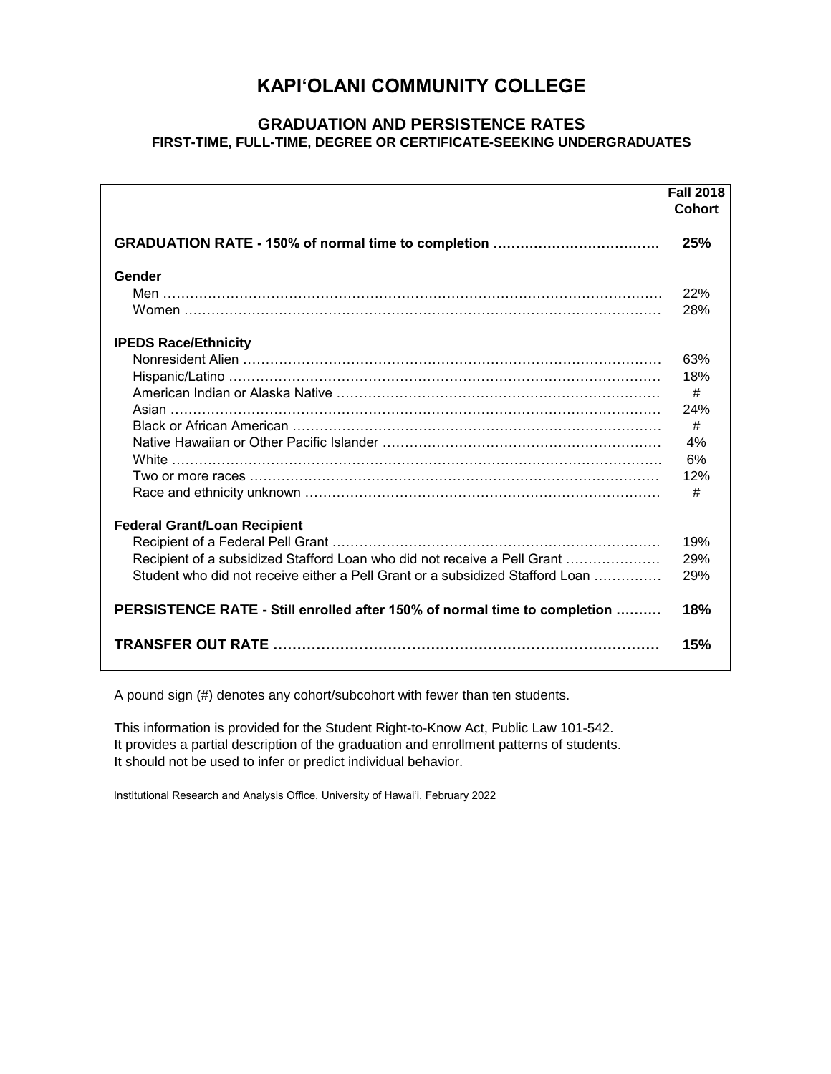# **KAPI'OLANI COMMUNITY COLLEGE**

### **GRADUATION AND PERSISTENCE RATES FIRST-TIME, FULL-TIME, DEGREE OR CERTIFICATE-SEEKING UNDERGRADUATES**

|                                                                               | <b>Fall 2018</b><br><b>Cohort</b> |
|-------------------------------------------------------------------------------|-----------------------------------|
|                                                                               | 25%                               |
| Gender                                                                        |                                   |
|                                                                               | 22%                               |
|                                                                               | 28%                               |
| <b>IPEDS Race/Ethnicity</b>                                                   |                                   |
|                                                                               | 63%                               |
|                                                                               | 18%                               |
|                                                                               | #                                 |
|                                                                               | 24%                               |
|                                                                               | #                                 |
|                                                                               | 4%                                |
|                                                                               | 6%                                |
| Two or more races …………………………………………………………………………………                             | 12%                               |
|                                                                               | #                                 |
| <b>Federal Grant/Loan Recipient</b>                                           |                                   |
|                                                                               | 19%                               |
| Recipient of a subsidized Stafford Loan who did not receive a Pell Grant      | 29%                               |
| Student who did not receive either a Pell Grant or a subsidized Stafford Loan | 29%                               |
| PERSISTENCE RATE - Still enrolled after 150% of normal time to completion     | 18%                               |
|                                                                               | 15%                               |

A pound sign (#) denotes any cohort/subcohort with fewer than ten students.

This information is provided for the Student Right-to-Know Act, Public Law 101-542. It provides a partial description of the graduation and enrollment patterns of students. It should not be used to infer or predict individual behavior.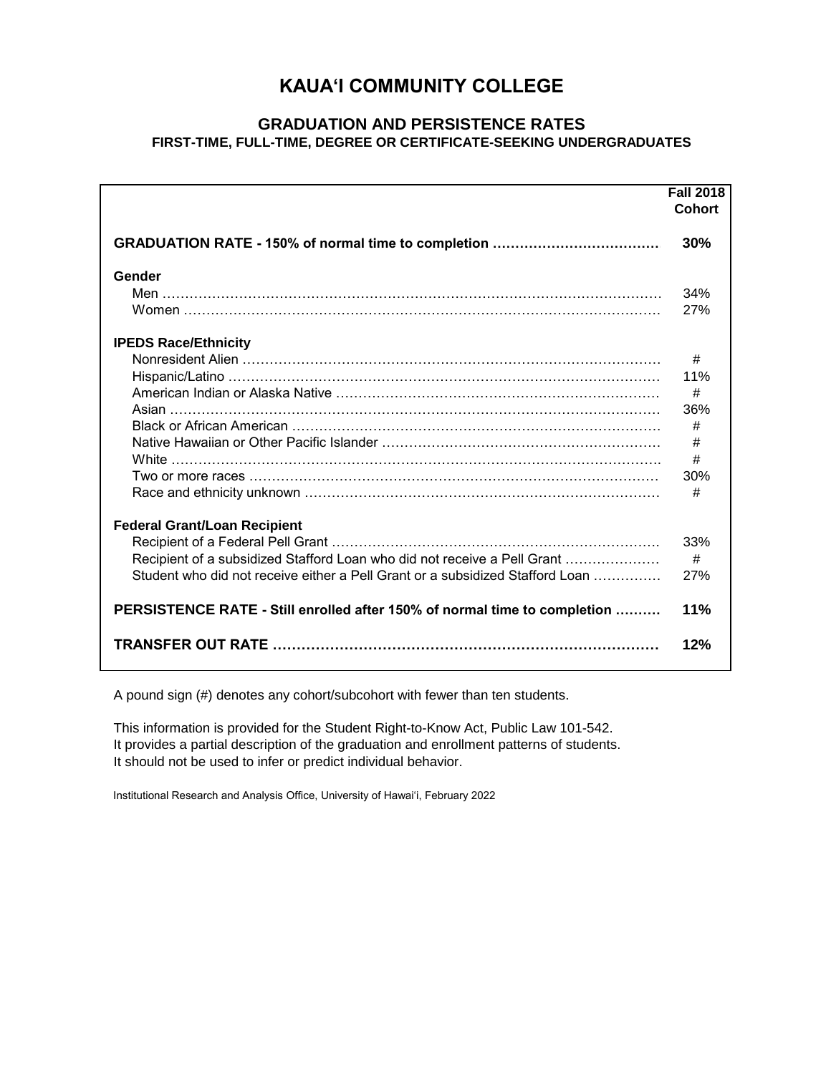# **KAUA'I COMMUNITY COLLEGE**

### **GRADUATION AND PERSISTENCE RATES FIRST-TIME, FULL-TIME, DEGREE OR CERTIFICATE-SEEKING UNDERGRADUATES**

|                                                                               | <b>Fall 2018</b><br><b>Cohort</b> |
|-------------------------------------------------------------------------------|-----------------------------------|
|                                                                               | 30%                               |
| Gender                                                                        |                                   |
|                                                                               | 34%                               |
|                                                                               | 27%                               |
| <b>IPEDS Race/Ethnicity</b>                                                   |                                   |
|                                                                               | #                                 |
|                                                                               | 11%                               |
|                                                                               | #                                 |
|                                                                               | 36%                               |
|                                                                               | #                                 |
|                                                                               | #                                 |
|                                                                               | #                                 |
|                                                                               | 30%                               |
|                                                                               | #                                 |
| <b>Federal Grant/Loan Recipient</b>                                           |                                   |
|                                                                               | 33%                               |
| Recipient of a subsidized Stafford Loan who did not receive a Pell Grant      | #                                 |
| Student who did not receive either a Pell Grant or a subsidized Stafford Loan | 27%                               |
| PERSISTENCE RATE - Still enrolled after 150% of normal time to completion     | 11%                               |
|                                                                               | 12%                               |

A pound sign (#) denotes any cohort/subcohort with fewer than ten students.

This information is provided for the Student Right-to-Know Act, Public Law 101-542. It provides a partial description of the graduation and enrollment patterns of students. It should not be used to infer or predict individual behavior.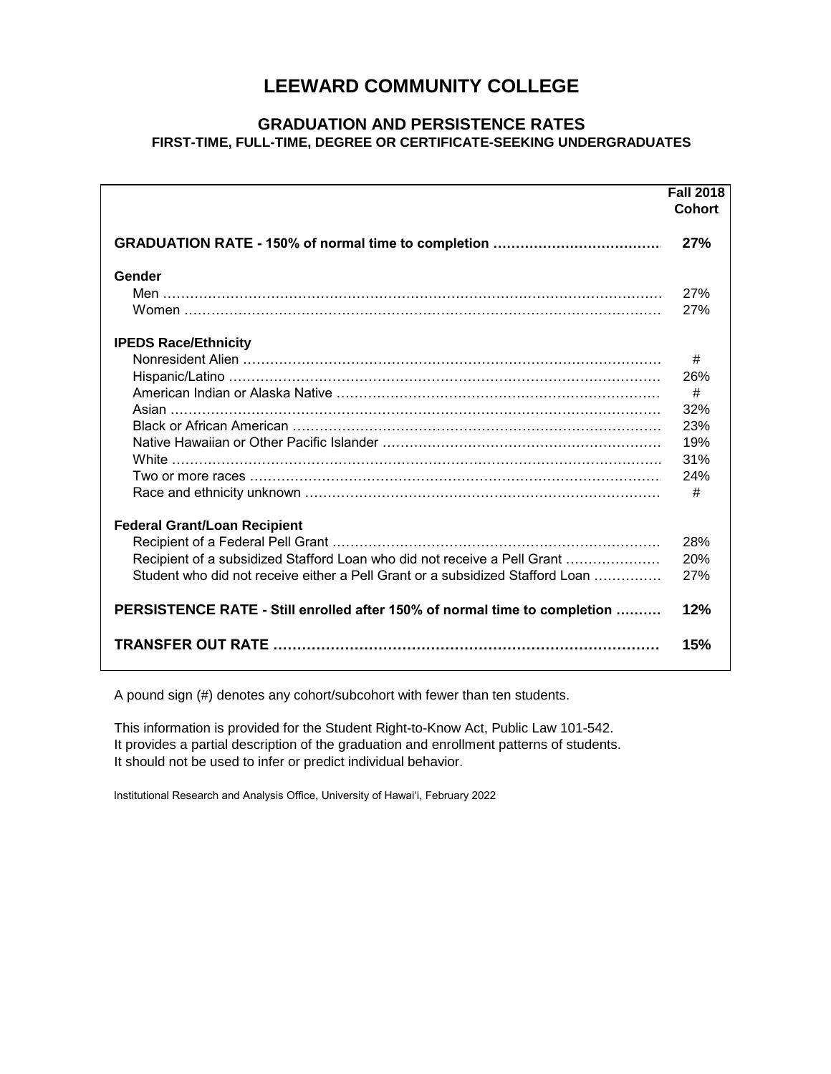### **LEEWARD COMMUNITY COLLEGE**

### **GRADUATION AND PERSISTENCE RATES FIRST-TIME, FULL-TIME, DEGREE OR CERTIFICATE-SEEKING UNDERGRADUATES**

|                                                                               | <b>Fall 2018</b><br><b>Cohort</b> |
|-------------------------------------------------------------------------------|-----------------------------------|
|                                                                               | 27%                               |
| Gender                                                                        |                                   |
|                                                                               | 27%                               |
|                                                                               | 27%                               |
| <b>IPEDS Race/Ethnicity</b>                                                   |                                   |
|                                                                               | #                                 |
|                                                                               | 26%                               |
|                                                                               | #                                 |
|                                                                               | 32%                               |
|                                                                               | 23%                               |
|                                                                               | 19%                               |
|                                                                               | 31%                               |
|                                                                               | 24%                               |
|                                                                               | #                                 |
| <b>Federal Grant/Loan Recipient</b>                                           |                                   |
|                                                                               | 28%                               |
| Recipient of a subsidized Stafford Loan who did not receive a Pell Grant      | 20%                               |
| Student who did not receive either a Pell Grant or a subsidized Stafford Loan | 27%                               |
| PERSISTENCE RATE - Still enrolled after 150% of normal time to completion     | 12%                               |
|                                                                               | 15%                               |

A pound sign (#) denotes any cohort/subcohort with fewer than ten students.

This information is provided for the Student Right-to-Know Act, Public Law 101-542. It provides a partial description of the graduation and enrollment patterns of students. It should not be used to infer or predict individual behavior.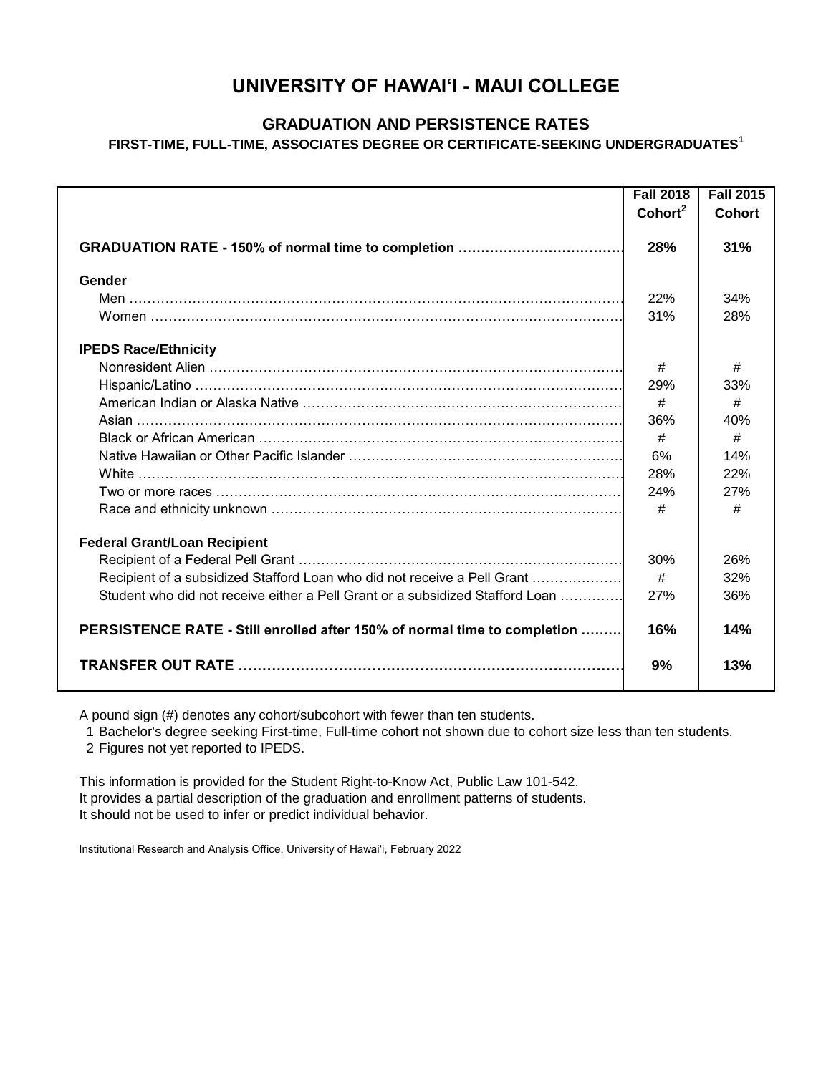# **UNIVERSITY OF HAWAI'I - MAUI COLLEGE**

### **GRADUATION AND PERSISTENCE RATES**

**FIRST-TIME, FULL-TIME, ASSOCIATES DEGREE OR CERTIFICATE-SEEKING UNDERGRADUATES<sup>1</sup>**

|                                                                               | <b>Fall 2018</b>    | <b>Fall 2015</b> |
|-------------------------------------------------------------------------------|---------------------|------------------|
|                                                                               | Cohort <sup>2</sup> | <b>Cohort</b>    |
|                                                                               | 28%                 | 31%              |
| Gender                                                                        |                     |                  |
|                                                                               | 22%                 | 34%              |
|                                                                               | 31%                 | 28%              |
| <b>IPEDS Race/Ethnicity</b>                                                   |                     |                  |
|                                                                               | #                   | #                |
|                                                                               | 29%                 | 33%              |
|                                                                               | #                   | #                |
|                                                                               | 36%                 | 40%              |
|                                                                               | #                   | #                |
|                                                                               | 6%                  | 14%              |
|                                                                               | 28%                 | 22%              |
|                                                                               | 24%                 | 27%              |
|                                                                               | #                   | #                |
| <b>Federal Grant/Loan Recipient</b>                                           |                     |                  |
|                                                                               | 30%                 | 26%              |
| Recipient of a subsidized Stafford Loan who did not receive a Pell Grant      | #                   | 32%              |
| Student who did not receive either a Pell Grant or a subsidized Stafford Loan | 27%                 | 36%              |
| PERSISTENCE RATE - Still enrolled after 150% of normal time to completion     | 16%                 | 14%              |
|                                                                               | 9%                  | 13%              |

A pound sign (#) denotes any cohort/subcohort with fewer than ten students.

1 Bachelor's degree seeking First-time, Full-time cohort not shown due to cohort size less than ten students.

2 Figures not yet reported to IPEDS.

This information is provided for the Student Right-to-Know Act, Public Law 101-542. It provides a partial description of the graduation and enrollment patterns of students. It should not be used to infer or predict individual behavior.